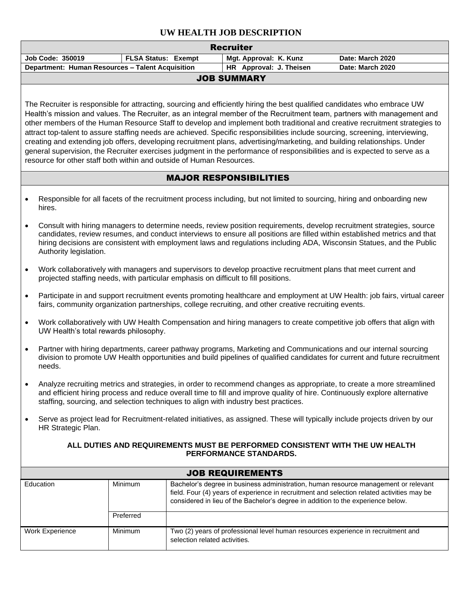## **UW HEALTH JOB DESCRIPTION**

| <b>Recruiter</b>                                                                                                                                                                                                                                                                                                                                                                                                                                                                                                                                                                                                                                                                                                                                                                                                                                        |                                                                                                                                                                                                                                                                                                                                                                                                       |                            |                               |                         |                                                                                                                                                                                                                                                                       |  |  |  |  |
|---------------------------------------------------------------------------------------------------------------------------------------------------------------------------------------------------------------------------------------------------------------------------------------------------------------------------------------------------------------------------------------------------------------------------------------------------------------------------------------------------------------------------------------------------------------------------------------------------------------------------------------------------------------------------------------------------------------------------------------------------------------------------------------------------------------------------------------------------------|-------------------------------------------------------------------------------------------------------------------------------------------------------------------------------------------------------------------------------------------------------------------------------------------------------------------------------------------------------------------------------------------------------|----------------------------|-------------------------------|-------------------------|-----------------------------------------------------------------------------------------------------------------------------------------------------------------------------------------------------------------------------------------------------------------------|--|--|--|--|
|                                                                                                                                                                                                                                                                                                                                                                                                                                                                                                                                                                                                                                                                                                                                                                                                                                                         | Job Code: 350019                                                                                                                                                                                                                                                                                                                                                                                      | <b>FLSA Status: Exempt</b> |                               | Mgt. Approval: K. Kunz  | Date: March 2020                                                                                                                                                                                                                                                      |  |  |  |  |
|                                                                                                                                                                                                                                                                                                                                                                                                                                                                                                                                                                                                                                                                                                                                                                                                                                                         | Department: Human Resources - Talent Acquisition                                                                                                                                                                                                                                                                                                                                                      |                            |                               | HR Approval: J. Theisen | Date: March 2020                                                                                                                                                                                                                                                      |  |  |  |  |
| <b>JOB SUMMARY</b>                                                                                                                                                                                                                                                                                                                                                                                                                                                                                                                                                                                                                                                                                                                                                                                                                                      |                                                                                                                                                                                                                                                                                                                                                                                                       |                            |                               |                         |                                                                                                                                                                                                                                                                       |  |  |  |  |
| The Recruiter is responsible for attracting, sourcing and efficiently hiring the best qualified candidates who embrace UW<br>Health's mission and values. The Recruiter, as an integral member of the Recruitment team, partners with management and<br>other members of the Human Resource Staff to develop and implement both traditional and creative recruitment strategies to<br>attract top-talent to assure staffing needs are achieved. Specific responsibilities include sourcing, screening, interviewing,<br>creating and extending job offers, developing recruitment plans, advertising/marketing, and building relationships. Under<br>general supervision, the Recruiter exercises judgment in the performance of responsibilities and is expected to serve as a<br>resource for other staff both within and outside of Human Resources. |                                                                                                                                                                                                                                                                                                                                                                                                       |                            |                               |                         |                                                                                                                                                                                                                                                                       |  |  |  |  |
| <b>MAJOR RESPONSIBILITIES</b>                                                                                                                                                                                                                                                                                                                                                                                                                                                                                                                                                                                                                                                                                                                                                                                                                           |                                                                                                                                                                                                                                                                                                                                                                                                       |                            |                               |                         |                                                                                                                                                                                                                                                                       |  |  |  |  |
|                                                                                                                                                                                                                                                                                                                                                                                                                                                                                                                                                                                                                                                                                                                                                                                                                                                         | hires.                                                                                                                                                                                                                                                                                                                                                                                                |                            |                               |                         | Responsible for all facets of the recruitment process including, but not limited to sourcing, hiring and onboarding new                                                                                                                                               |  |  |  |  |
|                                                                                                                                                                                                                                                                                                                                                                                                                                                                                                                                                                                                                                                                                                                                                                                                                                                         | Consult with hiring managers to determine needs, review position requirements, develop recruitment strategies, source<br>candidates, review resumes, and conduct interviews to ensure all positions are filled within established metrics and that<br>hiring decisions are consistent with employment laws and regulations including ADA, Wisconsin Statues, and the Public<br>Authority legislation. |                            |                               |                         |                                                                                                                                                                                                                                                                       |  |  |  |  |
|                                                                                                                                                                                                                                                                                                                                                                                                                                                                                                                                                                                                                                                                                                                                                                                                                                                         | Work collaboratively with managers and supervisors to develop proactive recruitment plans that meet current and<br>projected staffing needs, with particular emphasis on difficult to fill positions.                                                                                                                                                                                                 |                            |                               |                         |                                                                                                                                                                                                                                                                       |  |  |  |  |
| $\bullet$                                                                                                                                                                                                                                                                                                                                                                                                                                                                                                                                                                                                                                                                                                                                                                                                                                               | Participate in and support recruitment events promoting healthcare and employment at UW Health: job fairs, virtual career<br>fairs, community organization partnerships, college recruiting, and other creative recruiting events.                                                                                                                                                                    |                            |                               |                         |                                                                                                                                                                                                                                                                       |  |  |  |  |
| $\bullet$                                                                                                                                                                                                                                                                                                                                                                                                                                                                                                                                                                                                                                                                                                                                                                                                                                               | Work collaboratively with UW Health Compensation and hiring managers to create competitive job offers that align with<br>UW Health's total rewards philosophy.                                                                                                                                                                                                                                        |                            |                               |                         |                                                                                                                                                                                                                                                                       |  |  |  |  |
| $\bullet$                                                                                                                                                                                                                                                                                                                                                                                                                                                                                                                                                                                                                                                                                                                                                                                                                                               | Partner with hiring departments, career pathway programs, Marketing and Communications and our internal sourcing<br>division to promote UW Health opportunities and build pipelines of qualified candidates for current and future recruitment<br>needs.                                                                                                                                              |                            |                               |                         |                                                                                                                                                                                                                                                                       |  |  |  |  |
|                                                                                                                                                                                                                                                                                                                                                                                                                                                                                                                                                                                                                                                                                                                                                                                                                                                         | Analyze recruiting metrics and strategies, in order to recommend changes as appropriate, to create a more streamlined<br>and efficient hiring process and reduce overall time to fill and improve quality of hire. Continuously explore alternative<br>staffing, sourcing, and selection techniques to align with industry best practices.                                                            |                            |                               |                         |                                                                                                                                                                                                                                                                       |  |  |  |  |
|                                                                                                                                                                                                                                                                                                                                                                                                                                                                                                                                                                                                                                                                                                                                                                                                                                                         | Serve as project lead for Recruitment-related initiatives, as assigned. These will typically include projects driven by our<br>HR Strategic Plan.                                                                                                                                                                                                                                                     |                            |                               |                         |                                                                                                                                                                                                                                                                       |  |  |  |  |
| ALL DUTIES AND REQUIREMENTS MUST BE PERFORMED CONSISTENT WITH THE UW HEALTH<br>PERFORMANCE STANDARDS.                                                                                                                                                                                                                                                                                                                                                                                                                                                                                                                                                                                                                                                                                                                                                   |                                                                                                                                                                                                                                                                                                                                                                                                       |                            |                               |                         |                                                                                                                                                                                                                                                                       |  |  |  |  |
| <b>JOB REQUIREMENTS</b>                                                                                                                                                                                                                                                                                                                                                                                                                                                                                                                                                                                                                                                                                                                                                                                                                                 |                                                                                                                                                                                                                                                                                                                                                                                                       |                            |                               |                         |                                                                                                                                                                                                                                                                       |  |  |  |  |
|                                                                                                                                                                                                                                                                                                                                                                                                                                                                                                                                                                                                                                                                                                                                                                                                                                                         | Education                                                                                                                                                                                                                                                                                                                                                                                             | Minimum                    |                               |                         | Bachelor's degree in business administration, human resource management or relevant<br>field. Four (4) years of experience in recruitment and selection related activities may be<br>considered in lieu of the Bachelor's degree in addition to the experience below. |  |  |  |  |
|                                                                                                                                                                                                                                                                                                                                                                                                                                                                                                                                                                                                                                                                                                                                                                                                                                                         |                                                                                                                                                                                                                                                                                                                                                                                                       | Preferred                  |                               |                         |                                                                                                                                                                                                                                                                       |  |  |  |  |
|                                                                                                                                                                                                                                                                                                                                                                                                                                                                                                                                                                                                                                                                                                                                                                                                                                                         | Work Experience                                                                                                                                                                                                                                                                                                                                                                                       | Minimum                    | selection related activities. |                         | Two (2) years of professional level human resources experience in recruitment and                                                                                                                                                                                     |  |  |  |  |